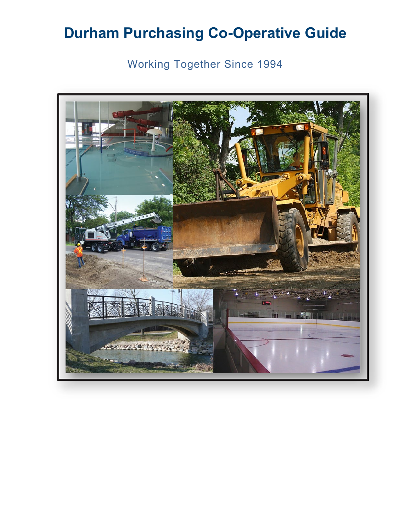Working Together Since 1994

<span id="page-0-0"></span>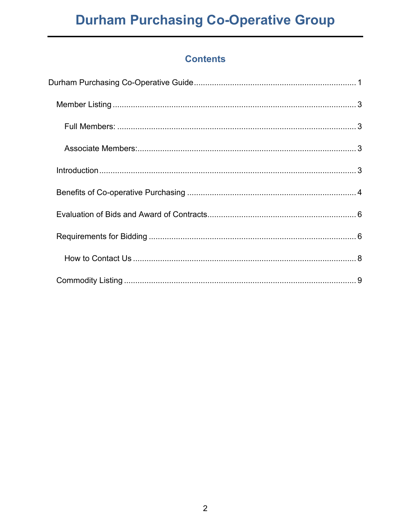### **Contents**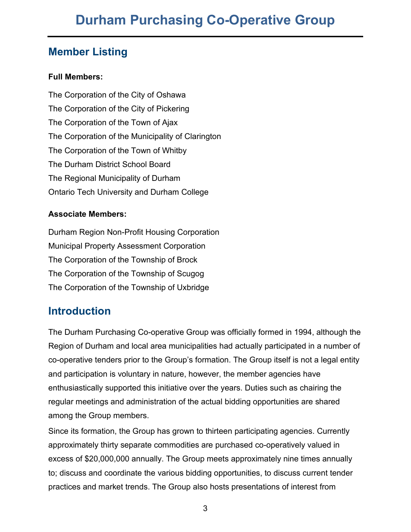### <span id="page-2-0"></span>**Member Listing**

#### <span id="page-2-1"></span>**Full Members:**

The Corporation of the City of Oshawa The Corporation of the City of Pickering The Corporation of the Town of Ajax The Corporation of the Municipality of Clarington The Corporation of the Town of Whitby The Durham District School Board The Regional Municipality of Durham Ontario Tech University and Durham College

#### <span id="page-2-2"></span>**Associate Members:**

Durham Region Non-Profit Housing Corporation Municipal Property Assessment Corporation The Corporation of the Township of Brock The Corporation of the Township of Scugog The Corporation of the Township of Uxbridge

## <span id="page-2-3"></span>**Introduction**

The Durham Purchasing Co-operative Group was officially formed in 1994, although the Region of Durham and local area municipalities had actually participated in a number of co-operative tenders prior to the Group's formation. The Group itself is not a legal entity and participation is voluntary in nature, however, the member agencies have enthusiastically supported this initiative over the years. Duties such as chairing the regular meetings and administration of the actual bidding opportunities are shared among the Group members.

Since its formation, the Group has grown to thirteen participating agencies. Currently approximately thirty separate commodities are purchased co-operatively valued in excess of \$20,000,000 annually. The Group meets approximately nine times annually to; discuss and coordinate the various bidding opportunities, to discuss current tender practices and market trends. The Group also hosts presentations of interest from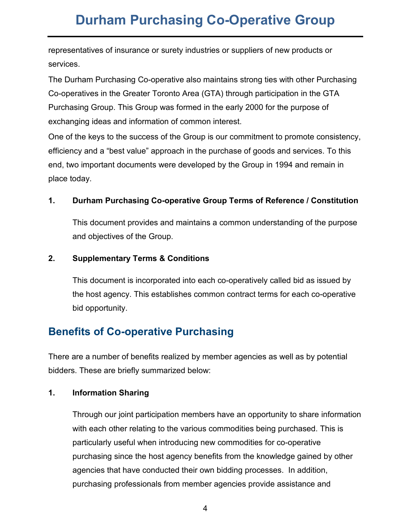representatives of insurance or surety industries or suppliers of new products or services.

The Durham Purchasing Co-operative also maintains strong ties with other Purchasing Co-operatives in the Greater Toronto Area (GTA) through participation in the GTA Purchasing Group. This Group was formed in the early 2000 for the purpose of exchanging ideas and information of common interest.

One of the keys to the success of the Group is our commitment to promote consistency, efficiency and a "best value" approach in the purchase of goods and services. To this end, two important documents were developed by the Group in 1994 and remain in place today.

#### **1. Durham Purchasing Co-operative Group Terms of Reference / Constitution**

This document provides and maintains a common understanding of the purpose and objectives of the Group.

#### **2. Supplementary Terms & Conditions**

This document is incorporated into each co-operatively called bid as issued by the host agency. This establishes common contract terms for each co-operative bid opportunity.

### <span id="page-3-0"></span>**Benefits of Co-operative Purchasing**

There are a number of benefits realized by member agencies as well as by potential bidders. These are briefly summarized below:

#### **1. Information Sharing**

Through our joint participation members have an opportunity to share information with each other relating to the various commodities being purchased. This is particularly useful when introducing new commodities for co-operative purchasing since the host agency benefits from the knowledge gained by other agencies that have conducted their own bidding processes. In addition, purchasing professionals from member agencies provide assistance and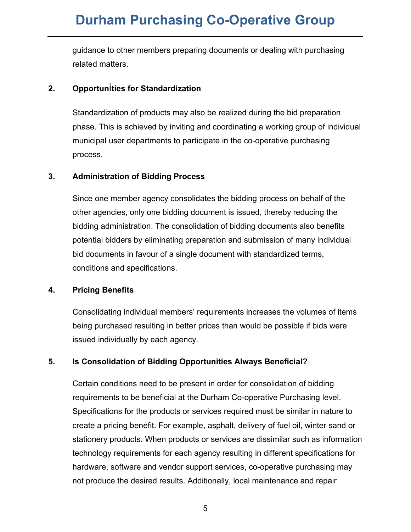guidance to other members preparing documents or dealing with purchasing related matters.

#### **2. Opportun**i**ties for Standardization**

Standardization of products may also be realized during the bid preparation phase. This is achieved by inviting and coordinating a working group of individual municipal user departments to participate in the co-operative purchasing process.

#### **3. Administration of Bidding Process**

Since one member agency consolidates the bidding process on behalf of the other agencies, only one bidding document is issued, thereby reducing the bidding administration. The consolidation of bidding documents also benefits potential bidders by eliminating preparation and submission of many individual bid documents in favour of a single document with standardized terms, conditions and specifications.

#### **4. Pricing Benefits**

Consolidating individual members' requirements increases the volumes of items being purchased resulting in better prices than would be possible if bids were issued individually by each agency.

#### **5. Is Consolidation of Bidding Opportunities Always Beneficial?**

Certain conditions need to be present in order for consolidation of bidding requirements to be beneficial at the Durham Co-operative Purchasing level. Specifications for the products or services required must be similar in nature to create a pricing benefit. For example, asphalt, delivery of fuel oil, winter sand or stationery products. When products or services are dissimilar such as information technology requirements for each agency resulting in different specifications for hardware, software and vendor support services, co-operative purchasing may not produce the desired results. Additionally, local maintenance and repair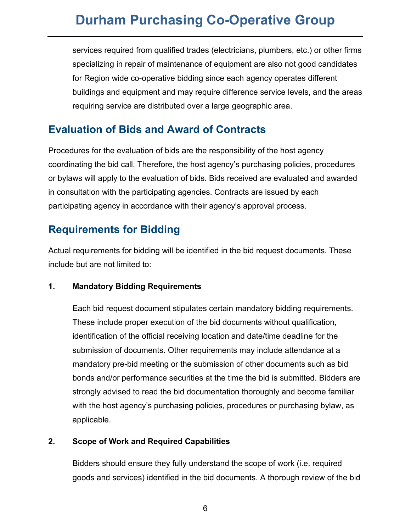services required from qualified trades (electricians, plumbers, etc.) or other firms specializing in repair of maintenance of equipment are also not good candidates for Region wide co-operative bidding since each agency operates different buildings and equipment and may require difference service levels, and the areas requiring service are distributed over a large geographic area.

### <span id="page-5-0"></span>**Evaluation of Bids and Award of Contracts**

Procedures for the evaluation of bids are the responsibility of the host agency coordinating the bid call. Therefore, the host agency's purchasing policies, procedures or bylaws will apply to the evaluation of bids. Bids received are evaluated and awarded in consultation with the participating agencies. Contracts are issued by each participating agency in accordance with their agency's approval process.

## <span id="page-5-1"></span>**Requirements for Bidding**

Actual requirements for bidding will be identified in the bid request documents. These include but are not limited to:

#### **1. Mandatory Bidding Requirements**

Each bid request document stipulates certain mandatory bidding requirements. These include proper execution of the bid documents without qualification, identification of the official receiving location and date/time deadline for the submission of documents. Other requirements may include attendance at a mandatory pre-bid meeting or the submission of other documents such as bid bonds and/or performance securities at the time the bid is submitted. Bidders are strongly advised to read the bid documentation thoroughly and become familiar with the host agency's purchasing policies, procedures or purchasing bylaw, as applicable.

#### **2. Scope of Work and Required Capabilities**

Bidders should ensure they fully understand the scope of work (i.e. required goods and services) identified in the bid documents. A thorough review of the bid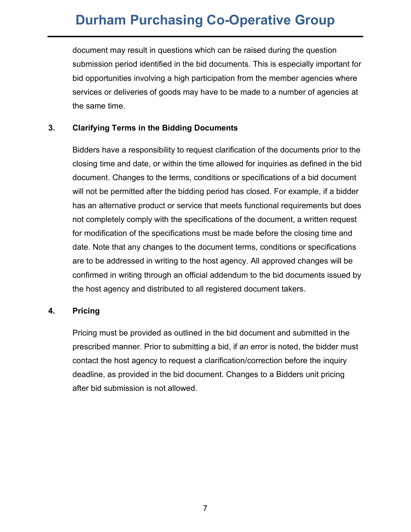document may result in questions which can be raised during the question submission period identified in the bid documents. This is especially important for bid opportunities involving a high participation from the member agencies where services or deliveries of goods may have to be made to a number of agencies at the same time.

#### **3. Clarifying Terms in the Bidding Documents**

Bidders have a responsibility to request clarification of the documents prior to the closing time and date, or within the time allowed for inquiries as defined in the bid document. Changes to the terms, conditions or specifications of a bid document will not be permitted after the bidding period has closed. For example, if a bidder has an alternative product or service that meets functional requirements but does not completely comply with the specifications of the document, a written request for modification of the specifications must be made before the closing time and date. Note that any changes to the document terms, conditions or specifications are to be addressed in writing to the host agency. All approved changes will be confirmed in writing through an official addendum to the bid documents issued by the host agency and distributed to all registered document takers.

#### **4. Pricing**

Pricing must be provided as outlined in the bid document and submitted in the prescribed manner. Prior to submitting a bid, if an error is noted, the bidder must contact the host agency to request a clarification/correction before the inquiry deadline, as provided in the bid document. Changes to a Bidders unit pricing after bid submission is not allowed.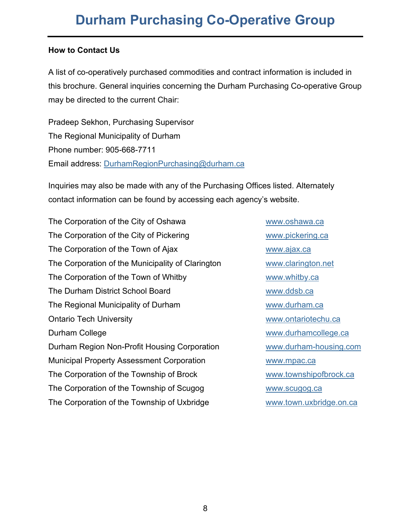#### <span id="page-7-0"></span>**How to Contact Us**

A list of co-operatively purchased commodities and contract information is included in this brochure. General inquiries concerning the Durham Purchasing Co-operative Group may be directed to the current Chair:

Pradeep Sekhon, Purchasing Supervisor The Regional Municipality of Durham Phone number: 905-668-7711 Email address: [DurhamRegionPurchasing@durham.ca](mailto:DurhamRegionPurchasing@durham.ca)

Inquiries may also be made with any of the Purchasing Offices listed. Alternately contact information can be found by accessing each agency's website.

The Corporation of the City of Oshawa [www.oshawa.ca](http://www.oshawa.ca/) The Corporation of the City of Pickering [www.pickering.ca](http://www.pickering.ca/) The Corporation of the Town of Ajax [www.ajax.ca](http://www.ajax.ca/) The Corporation of the Municipality of Clarington [www.clarington.net](http://www.clarington.net/) The Corporation of the Town of Whitby [www.whitby.ca](http://www.whitby.ca/) The Durham District School Board Www.ddsb.ca The Regional Municipality of Durham [www.durham.ca](http://www.durham.ca/) Ontario Tech University **WALLOCAL CONTACT CONTACT CONTACT WWW.ontariotechu.ca** Durham College [www.durhamcollege.ca](http://www.durhamcollege.ca/) Durham Region Non-Profit Housing Corporation [www.durham-housing.com](http://www.durham-housing.com/) Municipal Property Assessment Corporation **WALK WANGEM WWW.mpac.ca** The Corporation of the Township of Brock [www.townshipofbrock.ca](http://www.townshipofbrock.ca/) The Corporation of the Township of Scugog [www.scugog.ca](http://www.scugog.ca/) The Corporation of the Township of Uxbridge [www.town.uxbridge.on.ca](http://www.town.uxbridge.on.ca/)